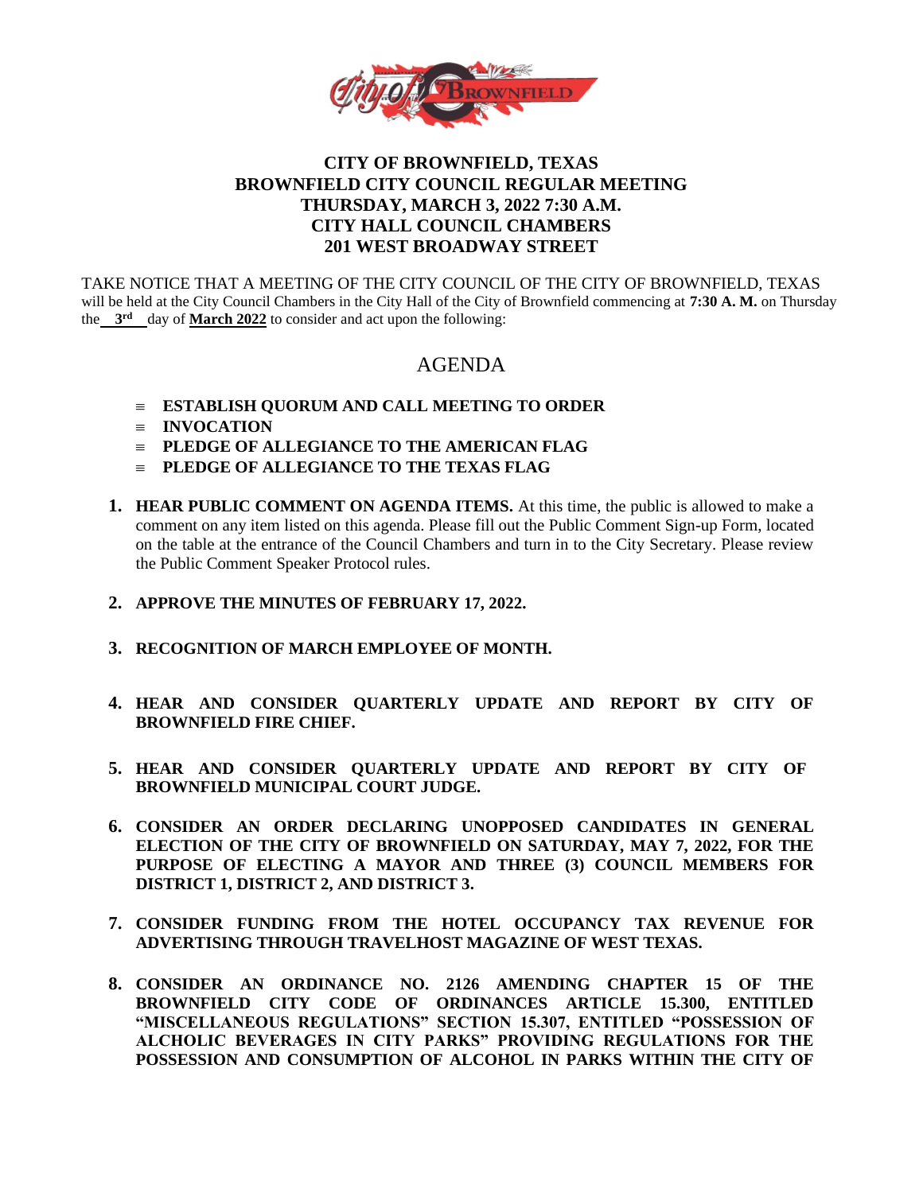

## **CITY OF BROWNFIELD, TEXAS BROWNFIELD CITY COUNCIL REGULAR MEETING THURSDAY, MARCH 3, 2022 7:30 A.M. CITY HALL COUNCIL CHAMBERS 201 WEST BROADWAY STREET**

TAKE NOTICE THAT A MEETING OF THE CITY COUNCIL OF THE CITY OF BROWNFIELD, TEXAS will be held at the City Council Chambers in the City Hall of the City of Brownfield commencing at **7:30 A. M.** on Thursday the 3<sup>rd</sup> day of March 2022 to consider and act upon the following:

# AGENDA

- **ESTABLISH QUORUM AND CALL MEETING TO ORDER**
- $\equiv$  **INVOCATION**
- **PLEDGE OF ALLEGIANCE TO THE AMERICAN FLAG**
- **PLEDGE OF ALLEGIANCE TO THE TEXAS FLAG**
- **1. HEAR PUBLIC COMMENT ON AGENDA ITEMS.** At this time, the public is allowed to make a comment on any item listed on this agenda. Please fill out the Public Comment Sign-up Form, located on the table at the entrance of the Council Chambers and turn in to the City Secretary. Please review the Public Comment Speaker Protocol rules.
- **2. APPROVE THE MINUTES OF FEBRUARY 17, 2022.**
- **3. RECOGNITION OF MARCH EMPLOYEE OF MONTH.**
- **4. HEAR AND CONSIDER QUARTERLY UPDATE AND REPORT BY CITY OF BROWNFIELD FIRE CHIEF.**
- **5. HEAR AND CONSIDER QUARTERLY UPDATE AND REPORT BY CITY OF BROWNFIELD MUNICIPAL COURT JUDGE.**
- **6. CONSIDER AN ORDER DECLARING UNOPPOSED CANDIDATES IN GENERAL ELECTION OF THE CITY OF BROWNFIELD ON SATURDAY, MAY 7, 2022, FOR THE PURPOSE OF ELECTING A MAYOR AND THREE (3) COUNCIL MEMBERS FOR DISTRICT 1, DISTRICT 2, AND DISTRICT 3.**
- **7. CONSIDER FUNDING FROM THE HOTEL OCCUPANCY TAX REVENUE FOR ADVERTISING THROUGH TRAVELHOST MAGAZINE OF WEST TEXAS.**
- **8. CONSIDER AN ORDINANCE NO. 2126 AMENDING CHAPTER 15 OF THE BROWNFIELD CITY CODE OF ORDINANCES ARTICLE 15.300, ENTITLED "MISCELLANEOUS REGULATIONS" SECTION 15.307, ENTITLED "POSSESSION OF ALCHOLIC BEVERAGES IN CITY PARKS" PROVIDING REGULATIONS FOR THE POSSESSION AND CONSUMPTION OF ALCOHOL IN PARKS WITHIN THE CITY OF**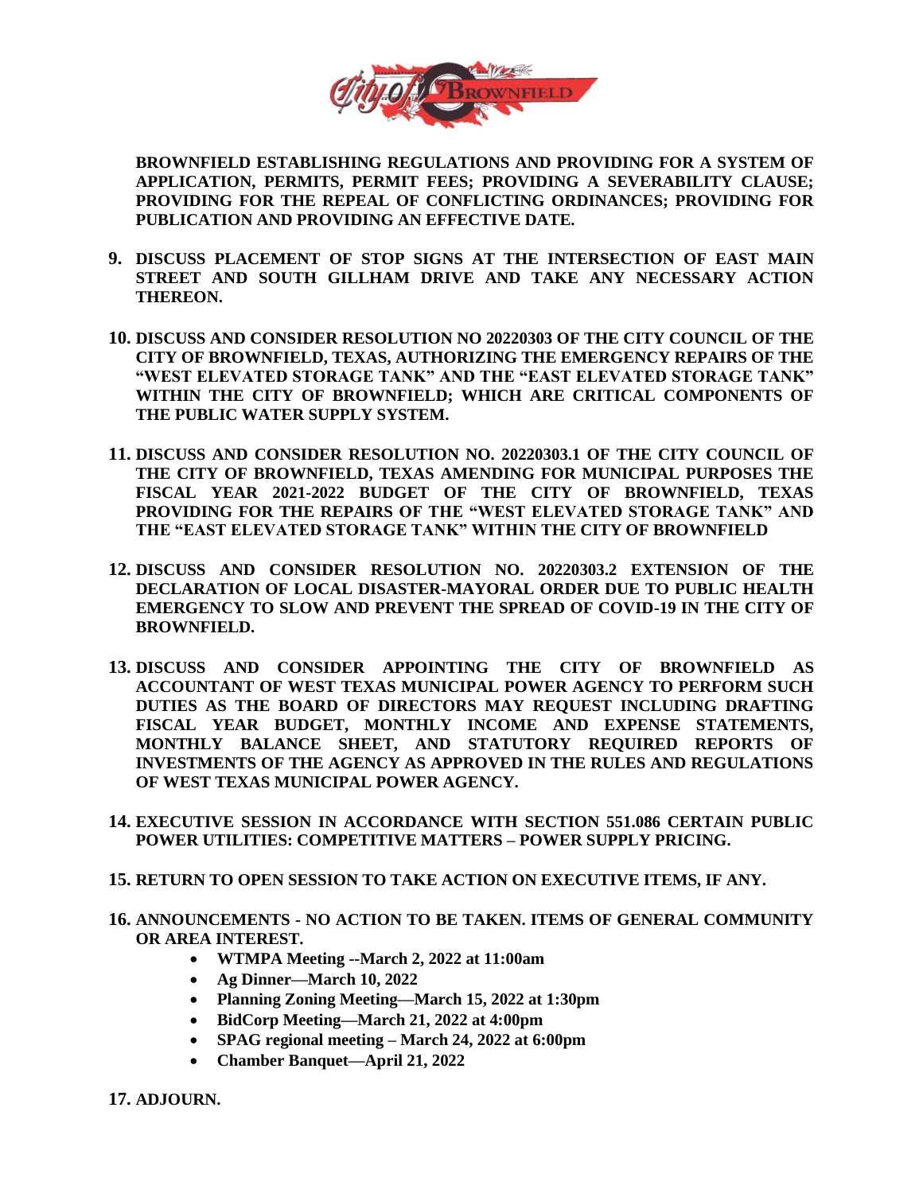

**BROWNFIELD ESTABLISHING REGULATIONS AND PROVIDING FOR A SYSTEM OF APPLICATION, PERMITS, PERMIT FEES; PROVIDING A SEVERABILITY CLAUSE; PROVIDING FOR THE REPEAL OF CONFLICTING ORDINANCES; PROVIDING FOR PUBLICATION AND PROVIDING AN EFFECTIVE DATE.**

- **9. DISCUSS PLACEMENT OF STOP SIGNS AT THE INTERSECTION OF EAST MAIN STREET AND SOUTH GILLHAM DRIVE AND TAKE ANY NECESSARY ACTION THEREON.**
- **10. DISCUSS AND CONSIDER RESOLUTION NO 20220303 OF THE CITY COUNCIL OF THE CITY OF BROWNFIELD, TEXAS, AUTHORIZING THE EMERGENCY REPAIRS OF THE "WEST ELEVATED STORAGE TANK" AND THE "EAST ELEVATED STORAGE TANK" WITHIN THE CITY OF BROWNFIELD; WHICH ARE CRITICAL COMPONENTS OF THE PUBLIC WATER SUPPLY SYSTEM.**
- **11. DISCUSS AND CONSIDER RESOLUTION NO. 20220303.1 OF THE CITY COUNCIL OF THE CITY OF BROWNFIELD, TEXAS AMENDING FOR MUNICIPAL PURPOSES THE FISCAL YEAR 2021-2022 BUDGET OF THE CITY OF BROWNFIELD, TEXAS PROVIDING FOR THE REPAIRS OF THE "WEST ELEVATED STORAGE TANK" AND THE "EAST ELEVATED STORAGE TANK" WITHIN THE CITY OF BROWNFIELD**
- **12. DISCUSS AND CONSIDER RESOLUTION NO. 20220303.2 EXTENSION OF THE DECLARATION OF LOCAL DISASTER-MAYORAL ORDER DUE TO PUBLIC HEALTH EMERGENCY TO SLOW AND PREVENT THE SPREAD OF COVID-19 IN THE CITY OF BROWNFIELD.**
- **13. DISCUSS AND CONSIDER APPOINTING THE CITY OF BROWNFIELD AS ACCOUNTANT OF WEST TEXAS MUNICIPAL POWER AGENCY TO PERFORM SUCH DUTIES AS THE BOARD OF DIRECTORS MAY REQUEST INCLUDING DRAFTING FISCAL YEAR BUDGET, MONTHLY INCOME AND EXPENSE STATEMENTS, MONTHLY BALANCE SHEET, AND STATUTORY REQUIRED REPORTS OF INVESTMENTS OF THE AGENCY AS APPROVED IN THE RULES AND REGULATIONS OF WEST TEXAS MUNICIPAL POWER AGENCY.**
- **14. EXECUTIVE SESSION IN ACCORDANCE WITH SECTION 551.086 CERTAIN PUBLIC POWER UTILITIES: COMPETITIVE MATTERS – POWER SUPPLY PRICING.**
- **15. RETURN TO OPEN SESSION TO TAKE ACTION ON EXECUTIVE ITEMS, IF ANY.**
- **16. ANNOUNCEMENTS - NO ACTION TO BE TAKEN. ITEMS OF GENERAL COMMUNITY OR AREA INTEREST.** 
	- **WTMPA Meeting --March 2, 2022 at 11:00am**
	- **Ag Dinner—March 10, 2022**
	- **Planning Zoning Meeting—March 15, 2022 at 1:30pm**
	- **BidCorp Meeting—March 21, 2022 at 4:00pm**
	- **SPAG regional meeting – March 24, 2022 at 6:00pm**
	- **Chamber Banquet—April 21, 2022**

**17. ADJOURN.**